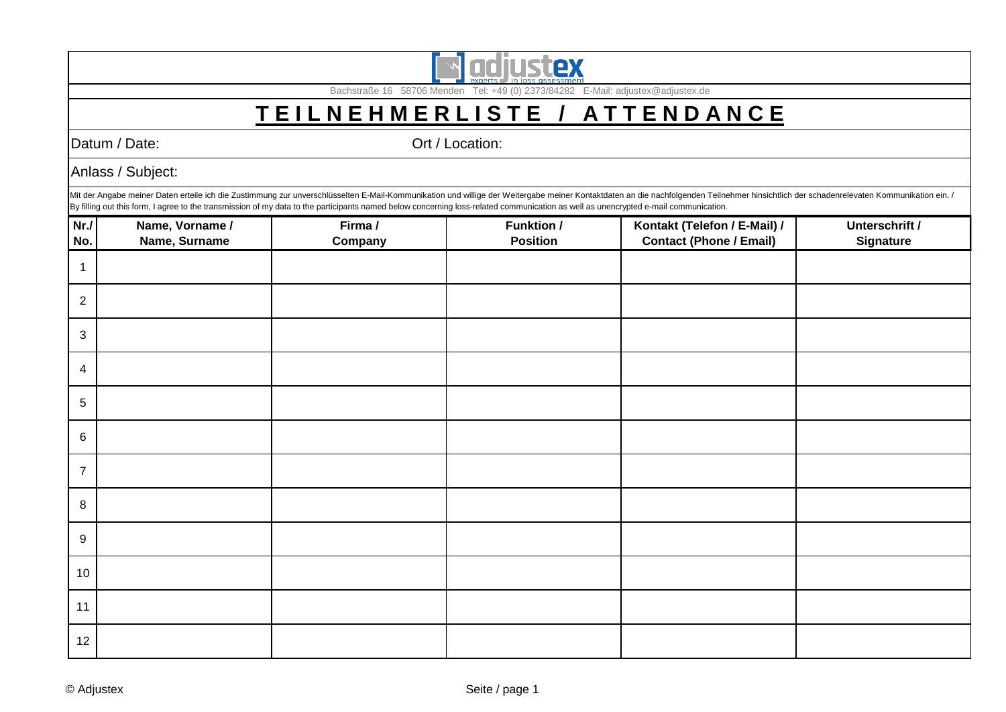

Bachstraße 16 58706 Menden Tel: +49 (0) 2373/84282 E-Mail: adjustex@adjustex.de

## **T E I L N E H M E R L I S T E / A T T E N D A N C E**

Datum / Date: Called a Control of Contraction: Ort / Location:

Anlass / Subject:

Mit der Angabe meiner Daten erteile ich die Zustimmung zur unverschlüsselten E-Mail-Kommunikation und willige der Weitergabe meiner Kontaktdaten an die nachfolgenden Teilnehmer hinsichtlich der schadenrelevaten Kommunikati By filling out this form, I agree to the transmission of my data to the participants named below concerning loss-related communication as well as unencrypted e-mail communication.

| Nr.            | Name, Vorname / | Firma / | <b>Funktion /</b> | Kontakt (Telefon / E-Mail) /   | Unterschrift /   |
|----------------|-----------------|---------|-------------------|--------------------------------|------------------|
| No.            | Name, Surname   | Company | <b>Position</b>   | <b>Contact (Phone / Email)</b> | <b>Signature</b> |
| 1              |                 |         |                   |                                |                  |
| $\overline{2}$ |                 |         |                   |                                |                  |
| $\mathbf{3}$   |                 |         |                   |                                |                  |
| $\overline{4}$ |                 |         |                   |                                |                  |
| 5              |                 |         |                   |                                |                  |
| 6              |                 |         |                   |                                |                  |
| $\overline{7}$ |                 |         |                   |                                |                  |
| $\,8\,$        |                 |         |                   |                                |                  |
| 9              |                 |         |                   |                                |                  |
| 10             |                 |         |                   |                                |                  |
| 11             |                 |         |                   |                                |                  |
| 12             |                 |         |                   |                                |                  |